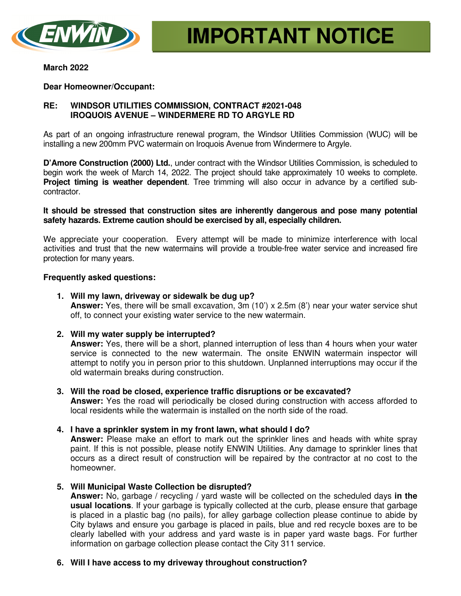

## **March 2022**

## **Dear Homeowner/Occupant:**

# **RE: WINDSOR UTILITIES COMMISSION, CONTRACT #2021-048 IROQUOIS AVENUE – WINDERMERE RD TO ARGYLE RD**

As part of an ongoing infrastructure renewal program, the Windsor Utilities Commission (WUC) will be installing a new 200mm PVC watermain on Iroquois Avenue from Windermere to Argyle.

**D'Amore Construction (2000) Ltd.**, under contract with the Windsor Utilities Commission, is scheduled to begin work the week of March 14, 2022. The project should take approximately 10 weeks to complete. **Project timing is weather dependent**. Tree trimming will also occur in advance by a certified subcontractor.

## **It should be stressed that construction sites are inherently dangerous and pose many potential safety hazards. Extreme caution should be exercised by all, especially children.**

We appreciate your cooperation. Every attempt will be made to minimize interference with local activities and trust that the new watermains will provide a trouble-free water service and increased fire protection for many years.

## **Frequently asked questions:**

**1. Will my lawn, driveway or sidewalk be dug up?**

**Answer:** Yes, there will be small excavation, 3m (10') x 2.5m (8') near your water service shut off, to connect your existing water service to the new watermain.

**2. Will my water supply be interrupted?**

**Answer:** Yes, there will be a short, planned interruption of less than 4 hours when your water service is connected to the new watermain. The onsite ENWIN watermain inspector will attempt to notify you in person prior to this shutdown. Unplanned interruptions may occur if the old watermain breaks during construction.

- **3. Will the road be closed, experience traffic disruptions or be excavated? Answer:** Yes the road will periodically be closed during construction with access afforded to local residents while the watermain is installed on the north side of the road.
- **4. I have a sprinkler system in my front lawn, what should I do?**

**Answer:** Please make an effort to mark out the sprinkler lines and heads with white spray paint. If this is not possible, please notify ENWIN Utilities. Any damage to sprinkler lines that occurs as a direct result of construction will be repaired by the contractor at no cost to the homeowner.

**5. Will Municipal Waste Collection be disrupted?** 

**Answer:** No, garbage / recycling / yard waste will be collected on the scheduled days **in the usual locations**. If your garbage is typically collected at the curb, please ensure that garbage is placed in a plastic bag (no pails), for alley garbage collection please continue to abide by City bylaws and ensure you garbage is placed in pails, blue and red recycle boxes are to be clearly labelled with your address and yard waste is in paper yard waste bags. For further information on garbage collection please contact the City 311 service.

### **6. Will I have access to my driveway throughout construction?**